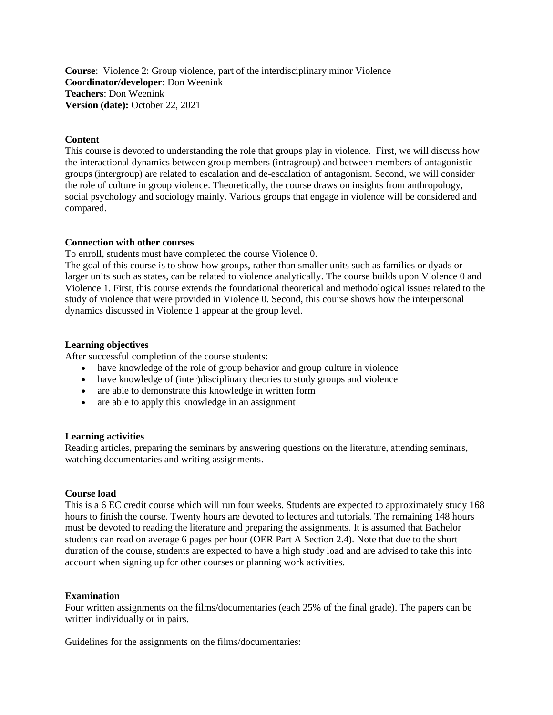**Course**: Violence 2: Group violence, part of the interdisciplinary minor Violence **Coordinator/developer**: Don Weenink **Teachers**: Don Weenink **Version (date):** October 22, 2021

# **Content**

This course is devoted to understanding the role that groups play in violence. First, we will discuss how the interactional dynamics between group members (intragroup) and between members of antagonistic groups (intergroup) are related to escalation and de-escalation of antagonism. Second, we will consider the role of culture in group violence. Theoretically, the course draws on insights from anthropology, social psychology and sociology mainly. Various groups that engage in violence will be considered and compared.

#### **Connection with other courses**

To enroll, students must have completed the course Violence 0.

The goal of this course is to show how groups, rather than smaller units such as families or dyads or larger units such as states, can be related to violence analytically. The course builds upon Violence 0 and Violence 1. First, this course extends the foundational theoretical and methodological issues related to the study of violence that were provided in Violence 0. Second, this course shows how the interpersonal dynamics discussed in Violence 1 appear at the group level.

#### **Learning objectives**

After successful completion of the course students:

- have knowledge of the role of group behavior and group culture in violence
- have knowledge of (inter)disciplinary theories to study groups and violence
- are able to demonstrate this knowledge in written form
- are able to apply this knowledge in an assignment

#### **Learning activities**

Reading articles, preparing the seminars by answering questions on the literature, attending seminars, watching documentaries and writing assignments.

#### **Course load**

This is a 6 EC credit course which will run four weeks. Students are expected to approximately study 168 hours to finish the course. Twenty hours are devoted to lectures and tutorials. The remaining 148 hours must be devoted to reading the literature and preparing the assignments. It is assumed that Bachelor students can read on average 6 pages per hour (OER Part A Section 2.4). Note that due to the short duration of the course, students are expected to have a high study load and are advised to take this into account when signing up for other courses or planning work activities.

#### **Examination**

Four written assignments on the films/documentaries (each 25% of the final grade). The papers can be written individually or in pairs.

Guidelines for the assignments on the films/documentaries: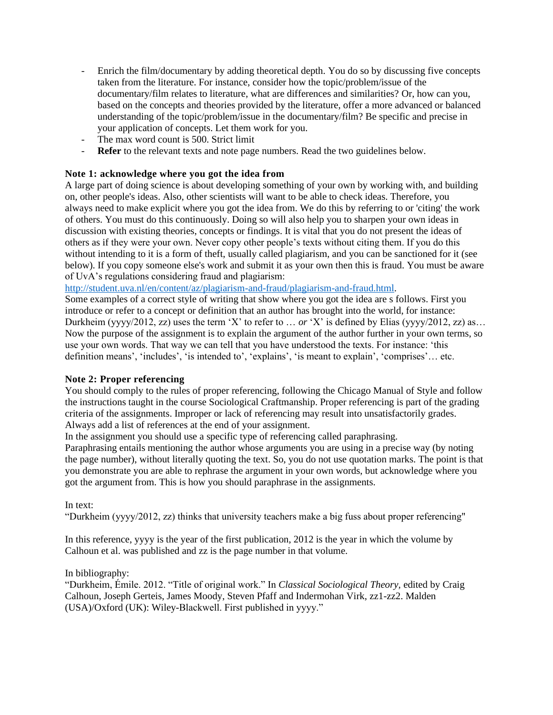- Enrich the film/documentary by adding theoretical depth. You do so by discussing five concepts taken from the literature. For instance, consider how the topic/problem/issue of the documentary/film relates to literature, what are differences and similarities? Or, how can you, based on the concepts and theories provided by the literature, offer a more advanced or balanced understanding of the topic/problem/issue in the documentary/film? Be specific and precise in your application of concepts. Let them work for you.
- The max word count is 500. Strict limit
- **Refer** to the relevant texts and note page numbers. Read the two guidelines below.

# **Note 1: acknowledge where you got the idea from**

A large part of doing science is about developing something of your own by working with, and building on, other people's ideas. Also, other scientists will want to be able to check ideas. Therefore, you always need to make explicit where you got the idea from. We do this by referring to or 'citing' the work of others. You must do this continuously. Doing so will also help you to sharpen your own ideas in discussion with existing theories, concepts or findings. It is vital that you do not present the ideas of others as if they were your own. Never copy other people's texts without citing them. If you do this without intending to it is a form of theft, usually called plagiarism, and you can be sanctioned for it (see below). If you copy someone else's work and submit it as your own then this is fraud. You must be aware of UvA's regulations considering fraud and plagiarism:

[http://student.uva.nl/en/content/az/plagiarism-and-fraud/plagiarism-and-fraud.html.](http://student.uva.nl/en/content/az/plagiarism-and-fraud/plagiarism-and-fraud.html)

Some examples of a correct style of writing that show where you got the idea are s follows. First you introduce or refer to a concept or definition that an author has brought into the world, for instance: Durkheim (yyyy/2012, zz) uses the term 'X' to refer to … *or* 'X' is defined by Elias (yyyy/2012, zz) as… Now the purpose of the assignment is to explain the argument of the author further in your own terms, so use your own words. That way we can tell that you have understood the texts. For instance: 'this definition means', 'includes', 'is intended to', 'explains', 'is meant to explain', 'comprises'… etc.

# **Note 2: Proper referencing**

You should comply to the rules of proper referencing, following the [Chicago Manual of Style](https://www.chicagomanualofstyle.org/home.html) and follow the instructions taught in the course Sociological Craftmanship. Proper referencing is part of the grading criteria of the assignments. Improper or lack of referencing may result into unsatisfactorily grades. Always add a list of references at the end of your assignment.

In the assignment you should use a specific type of referencing called paraphrasing.

Paraphrasing entails mentioning the author whose arguments you are using in a precise way (by noting the page number), without literally quoting the text. So, you do not use quotation marks. The point is that you demonstrate you are able to rephrase the argument in your own words, but acknowledge where you got the argument from. This is how you should paraphrase in the assignments.

# In text:

"Durkheim (yyyy/2012, zz) thinks that university teachers make a big fuss about proper referencing"

In this reference, yyyy is the year of the first publication, 2012 is the year in which the volume by Calhoun et al. was published and zz is the page number in that volume.

In bibliography:

"Durkheim, Émile. 2012. "Title of original work." In *Classical Sociological Theory,* edited by Craig Calhoun, Joseph Gerteis, James Moody, Steven Pfaff and Indermohan Virk, zz1-zz2. Malden (USA)/Oxford (UK): Wiley-Blackwell. First published in yyyy."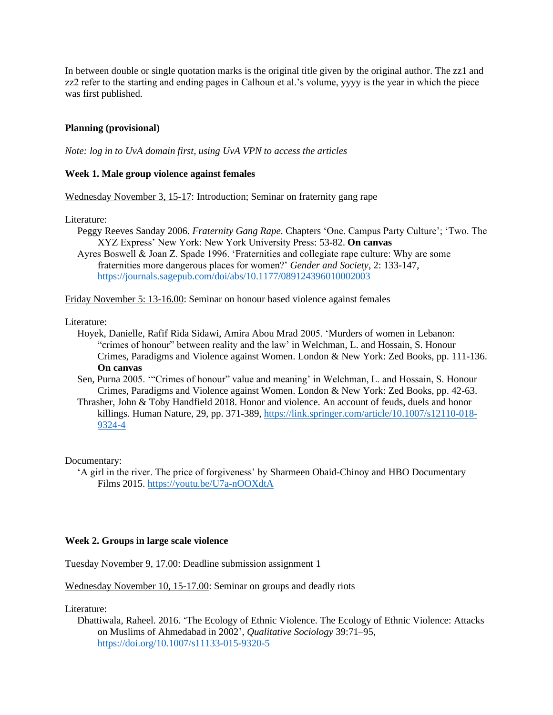In between double or single quotation marks is the original title given by the original author. The zz1 and zz2 refer to the starting and ending pages in Calhoun et al.'s volume, yyyy is the year in which the piece was first published.

# **Planning (provisional)**

*Note: log in to UvA domain first, using UvA VPN to access the articles*

# **Week 1. Male group violence against females**

Wednesday November 3, 15-17: Introduction; Seminar on fraternity gang rape

Literature:

Peggy Reeves Sanday 2006. *Fraternity Gang Rape*. Chapters 'One. Campus Party Culture'; 'Two. The XYZ Express' New York: New York University Press: 53-82. **On canvas**

Ayres Boswell & Joan Z. Spade 1996. 'Fraternities and collegiate rape culture: Why are some fraternities more dangerous places for women?' *Gender and Society*, 2: 133-147, <https://journals.sagepub.com/doi/abs/10.1177/089124396010002003>

Friday November 5: 13-16.00: Seminar on honour based violence against females

#### Literature:

- Hoyek, Danielle, Rafif Rida Sidawi, Amira Abou Mrad 2005. 'Murders of women in Lebanon: "crimes of honour" between reality and the law' in Welchman, L. and Hossain, S. Honour Crimes, Paradigms and Violence against Women. London & New York: Zed Books, pp. 111-136. **On canvas**
- Sen, Purna 2005. '"Crimes of honour" value and meaning' in Welchman, L. and Hossain, S. Honour Crimes, Paradigms and Violence against Women. London & New York: Zed Books, pp. 42-63.
- Thrasher, John & Toby Handfield 2018. Honor and violence. An account of feuds, duels and honor killings. Human Nature, 29, pp. 371-389, [https://link.springer.com/article/10.1007/s12110-018-](https://link.springer.com/article/10.1007/s12110-018-9324-4) [9324-4](https://link.springer.com/article/10.1007/s12110-018-9324-4)

Documentary:

'A girl in the river. The price of forgiveness' by Sharmeen Obaid-Chinoy and HBO Documentary Films 2015. <https://youtu.be/U7a-nOOXdtA>

### **Week 2. Groups in large scale violence**

Tuesday November 9, 17.00: Deadline submission assignment 1

Wednesday November 10, 15-17.00: Seminar on groups and deadly riots

Literature:

Dhattiwala, Raheel. 2016. 'The Ecology of Ethnic Violence. The Ecology of Ethnic Violence: Attacks on Muslims of Ahmedabad in 2002', *Qualitative Sociology* 39:71–95, <https://doi.org/10.1007/s11133-015-9320-5>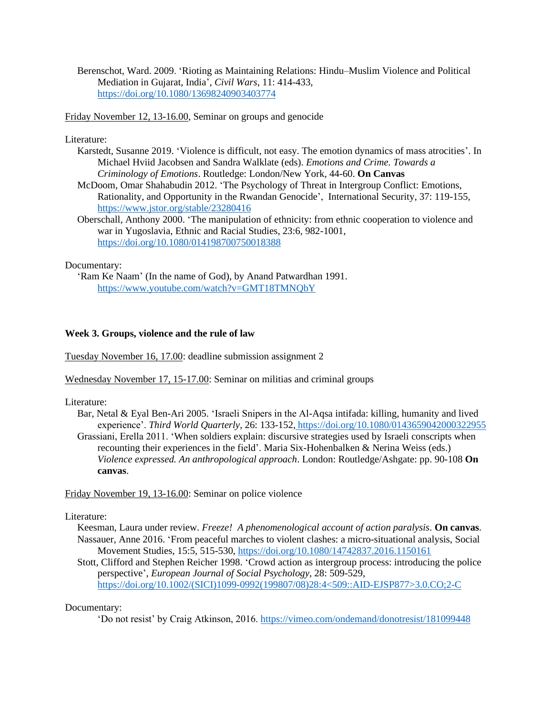Berenschot, Ward. 2009. 'Rioting as Maintaining Relations: Hindu–Muslim Violence and Political Mediation in Gujarat, India', *Civil Wars*, 11: 414-433, <https://doi.org/10.1080/13698240903403774>

Friday November 12, 13-16.00, Seminar on groups and genocide

## Literature:

- Karstedt, Susanne 2019. 'Violence is difficult, not easy. The emotion dynamics of mass atrocities'. In Michael Hviid Jacobsen and Sandra Walklate (eds). *Emotions and Crime. Towards a Criminology of Emotions*. Routledge: London/New York, 44-60. **On Canvas**
- McDoom, Omar Shahabudin 2012. 'The Psychology of Threat in Intergroup Conflict: Emotions, Rationality, and Opportunity in the Rwandan Genocide', International Security, 37: 119-155, <https://www.jstor.org/stable/23280416>
- Oberschall, Anthony 2000. 'The manipulation of ethnicity: from ethnic cooperation to violence and war in Yugoslavia, Ethnic and Racial Studies, 23:6, 982-1001, <https://doi.org/10.1080/014198700750018388>

## Documentary:

'Ram Ke Naam' (In the name of God), by Anand Patwardhan 1991. <https://www.youtube.com/watch?v=GMT18TMNQbY>

## **Week 3. Groups, violence and the rule of law**

Tuesday November 16, 17.00: deadline submission assignment 2

Wednesday November 17, 15-17.00: Seminar on militias and criminal groups

Literature:

- Bar, Netal & Eyal Ben-Ari 2005. 'Israeli Snipers in the Al-Aqsa intifada: killing, humanity and lived experience'. *Third World Quarterly*, 26: 133-152, <https://doi.org/10.1080/0143659042000322955> Grassiani, Erella 2011. 'When soldiers explain: discursive strategies used by Israeli conscripts when recounting their experiences in the field'. [Maria Six-Hohenbalken](https://www.amazon.nl/s/ref=dp_byline_sr_book_1?ie=UTF8&field-author=Maria+Six-Hohenbalken&search-alias=books) & [Nerina Weiss](https://www.amazon.nl/s/ref=dp_byline_sr_book_2?ie=UTF8&field-author=Nerina+Weiss&search-alias=books) (eds.)
	- *Violence expressed. An anthropological approach*. London: Routledge/Ashgate: pp. 90-108 **On canvas**.

Friday November 19, 13-16.00: Seminar on police violence

### Literature:

- Keesman, Laura under review. *Freeze! A phenomenological account of action paralysis.* **On canvas**. Nassauer, Anne 2016. 'From peaceful marches to violent clashes: a micro-situational analysis, Social Movement Studies, 15:5, 515-530,<https://doi.org/10.1080/14742837.2016.1150161>
- Stott, Clifford and Stephen Reicher 1998. 'Crowd action as intergroup process: introducing the police perspective', *European Journal of Social Psychology*, 28: 509-529, [https://doi.org/10.1002/\(SICI\)1099-0992\(199807/08\)28:4<509::AID-EJSP877>3.0.CO;2-C](https://doi.org/10.1002/(SICI)1099-0992(199807/08)28:4%3c509::AID-EJSP877%3e3.0.CO;2-C)

### Documentary:

'Do not resist' by Craig Atkinson, 2016. <https://vimeo.com/ondemand/donotresist/181099448>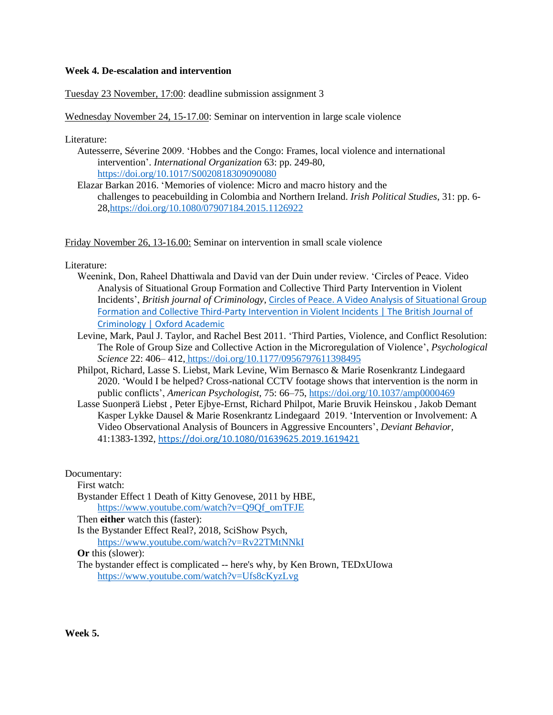## **Week 4. De-escalation and intervention**

Tuesday 23 November, 17:00: deadline submission assignment 3

Wednesday November 24, 15-17.00: Seminar on intervention in large scale violence

Literature:

- Autesserre, Séverine 2009. 'Hobbes and the Congo: Frames, local violence and international intervention'. *International Organization* 63: pp. 249-80, <https://doi.org/10.1017/S0020818309090080>
- Elazar Barkan 2016. 'Memories of violence: Micro and macro history and the challenges to peacebuilding in Colombia and Northern Ireland. *Irish Political Studies*, 31: pp. 6- 28[,https://doi.org/10.1080/07907184.2015.1126922](https://doi.org/10.1080/07907184.2015.1126922)

Friday November 26, 13-16.00: Seminar on intervention in small scale violence

Literature:

- Weenink, Don, Raheel Dhattiwala and David van der Duin under review. 'Circles of Peace. Video Analysis of Situational Group Formation and Collective Third Party Intervention in Violent Incidents', *British journal of Criminology*, [Circles of Peace. A Video Analysis of Situational Group](https://academic.oup.com/bjc/advance-article/doi/10.1093/bjc/azab042/6299950?login=true)  Formation and Collective Third-Party [Intervention in Violent Incidents | The British Journal of](https://academic.oup.com/bjc/advance-article/doi/10.1093/bjc/azab042/6299950?login=true)  [Criminology | Oxford Academic](https://academic.oup.com/bjc/advance-article/doi/10.1093/bjc/azab042/6299950?login=true)
- Levine, Mark, Paul J. Taylor, and Rachel Best 2011. 'Third Parties, Violence, and Conflict Resolution: The Role of Group Size and Collective Action in the Microregulation of Violence', *Psychological Science* 22: 406– 412, https://doi.org/10.1177/0956797611398495
- Philpot, Richard, Lasse S. Liebst, Mark Levine, Wim Bernasco & Marie Rosenkrantz Lindegaard 2020. 'Would I be helped? Cross-national CCTV footage shows that intervention is the norm in public conflicts', *American Psychologist*, 75: 66–75, [https://doi.org/10.1037/amp0000469](https://psycnet.apa.org/doi/10.1037/amp0000469)
- [Lasse Suonperä Liebst ,](https://www.tandfonline.com/author/Suonper%C3%A4+Liebst%2C+Lasse) [Peter Ejbye-Ernst,](https://www.tandfonline.com/author/Ejbye-Ernst%2C+Peter) [Richard Philpot,](https://www.tandfonline.com/author/Philpot%2C+Richard) [Marie Bruvik Heinskou ,](https://www.tandfonline.com/author/Bruvik+Heinskou%2C+Marie) [Jakob Demant](https://www.tandfonline.com/author/Demant%2C+Jakob)  [Kasper Lykke Dausel &](https://www.tandfonline.com/author/Lykke+Dausel%2C+Kasper) [Marie Rosenkrantz Lindegaard](https://www.tandfonline.com/author/Rosenkrantz+Lindegaard%2C+Marie) 2019. 'Intervention or Involvement: A Video Observational Analysis of Bouncers in Aggressive Encounters', *Deviant Behavior,*  41:1383-1392, <https://doi.org/10.1080/01639625.2019.1619421>

Documentary:

First watch:

Bystander Effect 1 Death of Kitty Genovese, 2011 by HBE, [https://www.youtube.com/watch?v=Q9Qf\\_omTFJE](https://www.youtube.com/watch?v=Q9Qf_omTFJE)

Then **either** watch this (faster):

Is the Bystander Effect Real?, 2018, SciShow Psych, <https://www.youtube.com/watch?v=Rv22TMtNNkI>

**Or** this (slower):

The bystander effect is complicated -- here's why, by Ken Brown, TEDxUIowa <https://www.youtube.com/watch?v=Ufs8cKyzLvg>

**Week 5.**